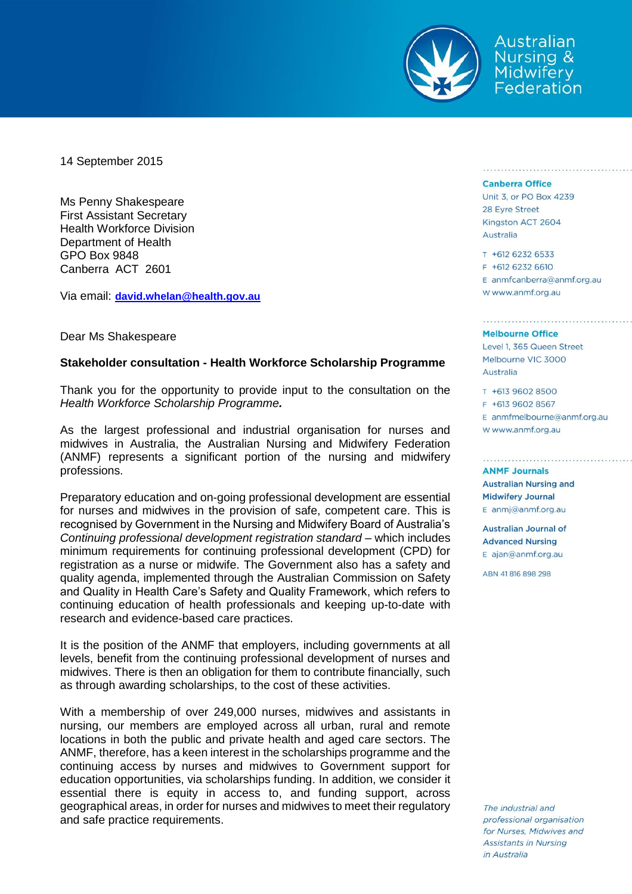

Australian Nursing & Midwifery Federation

14 September 2015

Ms Penny Shakespeare First Assistant Secretary Health Workforce Division Department of Health GPO Box 9848 Canberra ACT 2601

Via email: **[david.whelan@health.gov.au](mailto:david.whelan@health.gov.au)**

Dear Ms Shakespeare

### **Stakeholder consultation - Health Workforce Scholarship Programme**

Thank you for the opportunity to provide input to the consultation on the *Health Workforce Scholarship Programme.*

As the largest professional and industrial organisation for nurses and midwives in Australia, the Australian Nursing and Midwifery Federation (ANMF) represents a significant portion of the nursing and midwifery professions.

Preparatory education and on-going professional development are essential for nurses and midwives in the provision of safe, competent care. This is recognised by Government in the Nursing and Midwifery Board of Australia's *Continuing professional development registration standard* – which includes minimum requirements for continuing professional development (CPD) for registration as a nurse or midwife. The Government also has a safety and quality agenda, implemented through the Australian Commission on Safety and Quality in Health Care's Safety and Quality Framework, which refers to continuing education of health professionals and keeping up-to-date with research and evidence-based care practices.

It is the position of the ANMF that employers, including governments at all levels, benefit from the continuing professional development of nurses and midwives. There is then an obligation for them to contribute financially, such as through awarding scholarships, to the cost of these activities.

With a membership of over 249,000 nurses, midwives and assistants in nursing, our members are employed across all urban, rural and remote locations in both the public and private health and aged care sectors. The ANMF, therefore, has a keen interest in the scholarships programme and the continuing access by nurses and midwives to Government support for education opportunities, via scholarships funding. In addition, we consider it essential there is equity in access to, and funding support, across geographical areas, in order for nurses and midwives to meet their regulatory and safe practice requirements.

### **Canberra Office**

Unit 3, or PO Box 4239 28 Eyre Street Kingston ACT 2604 Australia

T +612 6232 6533  $F$  +612 6232 6610 E anmfcanberra@anmf.org.au W www.anmf.org.au

#### **Melbourne Office**

Level 1, 365 Queen Street Melbourne VIC 3000 Australia

T +613 9602 8500 F +613 9602 8567 E anmfmelbourne@anmf.org.au W www.anmf.org.au

**ANMF Journals Australian Nursing and Midwifery Journal** E anmj@anmf.org.au

**Australian Journal of Advanced Nursing** E ajan@anmf.org.au

ABN 41816898298

The industrial and professional organisation for Nurses, Midwives and **Assistants in Nursing** in Australia